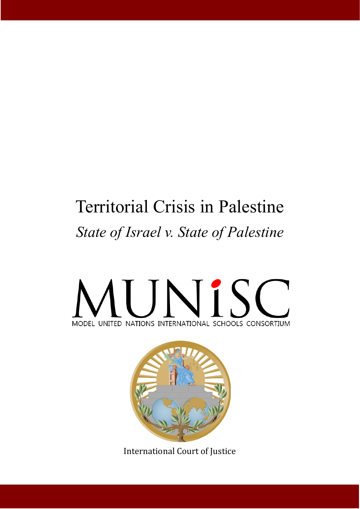# Territorial Crisis in Palestine *State of Israel v. State of Palestine*

# UNIS MODEL UNITED NATIONS INTERNATIONAL SCHOOLS CONSORTIUM



International Court of Justice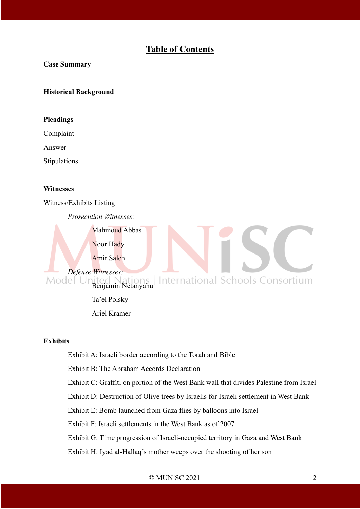# **Table of Contents**

#### **Case Summary**

#### **Historical Background**

#### **Pleadings**

Complaint

Answer

Stipulations

#### **Witnesses**

Witness/Exhibits Listing

*Prosecution Witnesses:*

Noor Hady

Mahmoud Abbas

Amir Saleh

*Defense Witnesses:*<br>Model United United Nations<br>Benjamin Netanyahu **International Schools Consortium** 

Ta'el Polsky

Ariel Kramer

#### **Exhibits**

Exhibit A: Israeli border according to the Torah and Bible

Exhibit B: The Abraham Accords Declaration

Exhibit C: Graffiti on portion of the West Bank wall that divides Palestine from Israel

Exhibit D: Destruction of Olive trees by Israelis for Israeli settlement in West Bank

Exhibit E: Bomb launched from Gaza flies by balloons into Israel

Exhibit F: Israeli settlements in the West Bank as of 2007

Exhibit G: Time progression of Israeli-occupied territory in Gaza and West Bank

Exhibit H: Iyad al-Hallaq's mother weeps over the shooting of her son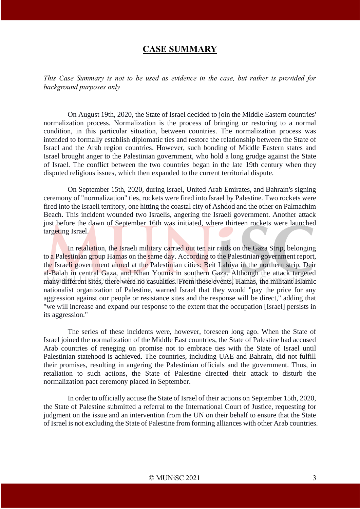## **CASE SUMMARY**

*This Case Summary is not to be used as evidence in the case, but rather is provided for background purposes only*

On August 19th, 2020, the State of Israel decided to join the Middle Eastern countries' normalization process. Normalization is the process of bringing or restoring to a normal condition, in this particular situation, between countries. The normalization process was intended to formally establish diplomatic ties and restore the relationship between the State of Israel and the Arab region countries. However, such bonding of Middle Eastern states and Israel brought anger to the Palestinian government, who hold a long grudge against the State of Israel. The conflict between the two countries began in the late 19th century when they disputed religious issues, which then expanded to the current territorial dispute.

On September 15th, 2020, during Israel, United Arab Emirates, and Bahrain's signing ceremony of "normalization" ties, rockets were fired into Israel by Palestine. Two rockets were fired into the Israeli territory, one hitting the coastal city of Ashdod and the other on Palmachim Beach. This incident wounded two Israelis, angering the Israeli government. Another attack just before the dawn of September 16th was initiated, where thirteen rockets were launched targeting Israel.

In retaliation, the Israeli military carried out ten air raids on the Gaza Strip, belonging to a Palestinian group Hamas on the same day. According to the Palestinian government report, the Israeli government aimed at the Palestinian cities: Beit Lahiya in the northern strip, Deir al-Balah in central Gaza, and Khan Younis in southern Gaza. Although the attack targeted many different sites, there were no casualties. From these events, Hamas, the militant Islamic nationalist organization of Palestine, warned Israel that they would "pay the price for any aggression against our people or resistance sites and the response will be direct," adding that "we will increase and expand our response to the extent that the occupation [Israel] persists in its aggression."

The series of these incidents were, however, foreseen long ago. When the State of Israel joined the normalization of the Middle East countries, the State of Palestine had accused Arab countries of reneging on promise not to embrace ties with the State of Israel until Palestinian statehood is achieved. The countries, including UAE and Bahrain, did not fulfill their promises, resulting in angering the Palestinian officials and the government. Thus, in retaliation to such actions, the State of Palestine directed their attack to disturb the normalization pact ceremony placed in September.

In order to officially accuse the State of Israel of their actions on September 15th, 2020, the State of Palestine submitted a referral to the International Court of Justice, requesting for judgment on the issue and an intervention from the UN on their behalf to ensure that the State of Israel is not excluding the State of Palestine from forming alliances with other Arab countries.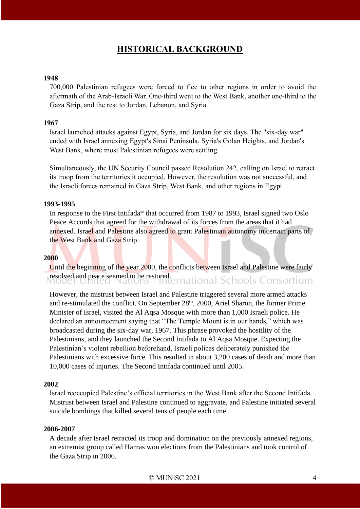# **HISTORICAL BACKGROUND**

#### **1948**

700,000 Palestinian refugees were forced to flee to other regions in order to avoid the aftermath of the Arab-Israeli War. One-third went to the West Bank, another one-third to the Gaza Strip, and the rest to Jordan, Lebanon, and Syria.

#### **1967**

Israel launched attacks against Egypt, Syria, and Jordan for six days. The "six-day war" ended with Israel annexing Egypt's Sinai Peninsula, Syria's Golan Heights, and Jordan's West Bank, where most Palestinian refugees were settling.

Simultaneously, the UN Security Council passed Resolution 242, calling on Israel to retract its troop from the territories it occupied. However, the resolution was not successful, and the Israeli forces remained in Gaza Strip, West Bank, and other regions in Egypt.

#### **1993-1995**

In response to the First Intifada\* that occurred from 1987 to 1993, Israel signed two Oslo Peace Accords that agreed for the withdrawal of its forces from the areas that it had annexed. Israel and Palestine also agreed to grant Palestinian autonomy in certain parts of the West Bank and Gaza Strip.

#### **2000**

Until the beginning of the year 2000, the conflicts between Israel and Palestine were fairly resolved and peace seemed to be restored. Enriconal Schools Consortium

However, the mistrust between Israel and Palestine triggered several more armed attacks and re-stimulated the conflict. On September 28<sup>th</sup>, 2000, Ariel Sharon, the former Prime Minister of Israel, visited the Al Aqsa Mosque with more than 1,000 Israeli police. He declared an announcement saying that "The Temple Mount is in our hands," which was broadcasted during the six-day war, 1967. This phrase provoked the hostility of the Palestinians, and they launched the Second Intifada to Al Aqsa Mosque. Expecting the Palestinian's violent rebellion beforehand, Israeli polices deliberately punished the Palestinians with excessive force. This resulted in about 3,200 cases of death and more than 10,000 cases of injuries. The Second Intifada continued until 2005.

#### **2002**

Israel reoccupied Palestine's official territories in the West Bank after the Second Intifada. Mistrust between Israel and Palestine continued to aggravate, and Palestine initiated several suicide bombings that killed several tens of people each time.

#### **2006-2007**

A decade after Israel retracted its troop and domination on the previously annexed regions, an extremist group called Hamas won elections from the Palestinians and took control of the Gaza Strip in 2006.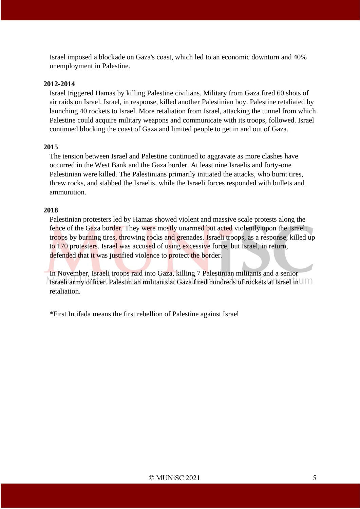Israel imposed a blockade on Gaza's coast, which led to an economic downturn and 40% unemployment in Palestine.

#### **2012-2014**

Israel triggered Hamas by killing Palestine civilians. Military from Gaza fired 60 shots of air raids on Israel. Israel, in response, killed another Palestinian boy. Palestine retaliated by launching 40 rockets to Israel. More retaliation from Israel, attacking the tunnel from which Palestine could acquire military weapons and communicate with its troops, followed. Israel continued blocking the coast of Gaza and limited people to get in and out of Gaza.

#### **2015**

The tension between Israel and Palestine continued to aggravate as more clashes have occurred in the West Bank and the Gaza border. At least nine Israelis and forty-one Palestinian were killed. The Palestinians primarily initiated the attacks, who burnt tires, threw rocks, and stabbed the Israelis, while the Israeli forces responded with bullets and ammunition.

#### **2018**

Palestinian protesters led by Hamas showed violent and massive scale protests along the fence of the Gaza border. They were mostly unarmed but acted violently upon the Israeli troops by burning tires, throwing rocks and grenades. Israeli troops, as a response, killed up to 170 protesters. Israel was accused of using excessive force, but Israel, in return, defended that it was justified violence to protect the border.

In November, Israeli troops raid into Gaza, killing 7 Palestinian militants and a senior Israeli army officer. Palestinian militants at Gaza fired hundreds of rockets at Israel in retaliation.

\*First Intifada means the first rebellion of Palestine against Israel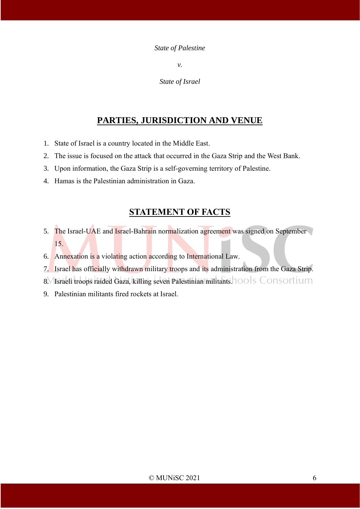#### *State of Palestine*

*v.*

*State of Israel*

# **PARTIES, JURISDICTION AND VENUE**

- 1. State of Israel is a country located in the Middle East.
- 2. The issue is focused on the attack that occurred in the Gaza Strip and the West Bank.
- 3. Upon information, the Gaza Strip is a self-governing territory of Palestine.
- 4. Hamas is the Palestinian administration in Gaza.

# **STATEMENT OF FACTS**

- 5. The Israel-UAE and Israel-Bahrain normalization agreement was signed on September 15.
- 6. Annexation is a violating action according to International Law.
- 7. Israel has officially withdrawn military troops and its administration from the Gaza Strip.
- 8. Israeli troops raided Gaza, killing seven Palestinian militants. 100 S Consortium
- 9. Palestinian militants fired rockets at Israel.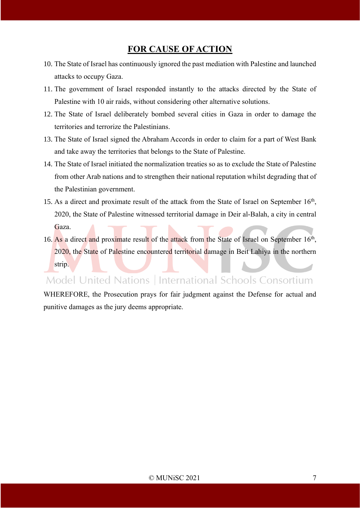# **FOR CAUSE OF ACTION**

- 10. The State of Israel has continuously ignored the past mediation with Palestine and launched attacks to occupy Gaza.
- 11. The government of Israel responded instantly to the attacks directed by the State of Palestine with 10 air raids, without considering other alternative solutions.
- 12. The State of Israel deliberately bombed several cities in Gaza in order to damage the territories and terrorize the Palestinians.
- 13. The State of Israel signed the Abraham Accords in order to claim for a part of West Bank and take away the territories that belongs to the State of Palestine.
- 14. The State of Israel initiated the normalization treaties so as to exclude the State of Palestine from other Arab nations and to strengthen their national reputation whilst degrading that of the Palestinian government.
- 15. As a direct and proximate result of the attack from the State of Israel on September 16<sup>th</sup>, 2020, the State of Palestine witnessed territorial damage in Deir al-Balah, a city in central Gaza.
- 16. As a direct and proximate result of the attack from the State of Israel on September 16<sup>th</sup>, 2020, the State of Palestine encountered territorial damage in Beit Lahiya in the northern strip.

# Model United Nations | International Schools Consortium

WHEREFORE, the Prosecution prays for fair judgment against the Defense for actual and punitive damages as the jury deems appropriate.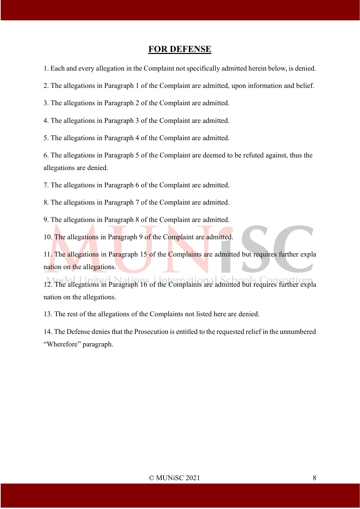### **FOR DEFENSE**

1. Each and every allegation in the Complaint not specifically admitted herein below, is denied.

2. The allegations in Paragraph 1 of the Complaint are admitted, upon information and belief.

3. The allegations in Paragraph 2 of the Complaint are admitted.

4. The allegations in Paragraph 3 of the Complaint are admitted.

5. The allegations in Paragraph 4 of the Complaint are admitted.

6. The allegations in Paragraph 5 of the Complaint are deemed to be refuted against, thus the allegations are denied.

7. The allegations in Paragraph 6 of the Complaint are admitted.

8. The allegations in Paragraph 7 of the Complaint are admitted.

9. The allegations in Paragraph 8 of the Complaint are admitted.

10. The allegations in Paragraph 9 of the Complaint are admitted.

11. The allegations in Paragraph 15 of the Complaints are admitted but requires further expla nation on the allegations.

12. The allegations in Paragraph 16 of the Complaints are admitted but requires further expla nation on the allegations.

13. The rest of the allegations of the Complaints not listed here are denied.

14. The Defense denies that the Prosecution is entitled to the requested relief in the unnumbered "Wherefore" paragraph.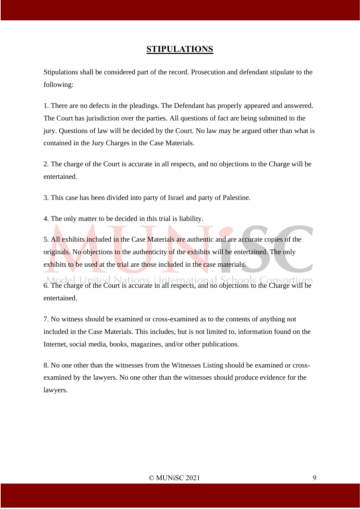## **STIPULATIONS**

Stipulations shall be considered part of the record. Prosecution and defendant stipulate to the following:

1. There are no defects in the pleadings. The Defendant has properly appeared and answered. The Court has jurisdiction over the parties. All questions of fact are being submitted to the jury. Questions of law will be decided by the Court. No law may be argued other than what is contained in the Jury Charges in the Case Materials.

2. The charge of the Court is accurate in all respects, and no objections to the Charge will be entertained.

3. This case has been divided into party of Israel and party of Palestine.

4. The only matter to be decided in this trial is liability.

5. All exhibits included in the Case Materials are authentic and are accurate copies of the originals. No objections to the authenticity of the exhibits will be entertained. The only exhibits to be used at the trial are those included in the case materials.

6. The charge of the Court is accurate in all respects, and no objections to the Charge will be entertained.

7. No witness should be examined or cross-examined as to the contents of anything not included in the Case Materials. This includes, but is not limited to, information found on the Internet, social media, books, magazines, and/or other publications.

8. No one other than the witnesses from the Witnesses Listing should be examined or crossexamined by the lawyers. No one other than the witnesses should produce evidence for the lawyers.